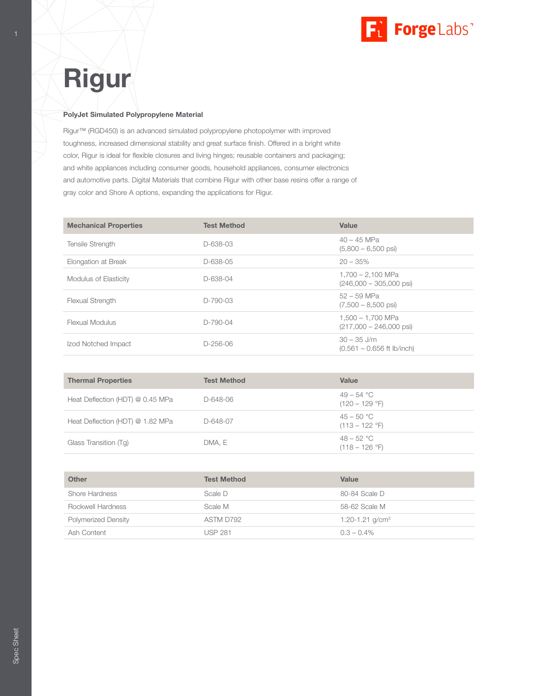

# Rigur

### PolyJet Simulated Polypropylene Material

Rigur™ (RGD450) is an advanced simulated polypropylene photopolymer with improved toughness, increased dimensional stability and great surface finish. Offered in a bright white color, Rigur is ideal for flexible closures and living hinges; reusable containers and packaging; and white appliances including consumer goods, household appliances, consumer electronics and automotive parts. Digital Materials that combine Rigur with other base resins offer a range of gray color and Shore A options, expanding the applications for Rigur.

| <b>Mechanical Properties</b> | <b>Test Method</b> | Value                                                    |
|------------------------------|--------------------|----------------------------------------------------------|
| <b>Tensile Strength</b>      | D-638-03           | $40 - 45$ MPa<br>$(5,800 - 6,500 \text{ psi})$           |
| Elongation at Break          | D-638-05           | $20 - 35%$                                               |
| Modulus of Elasticity        | D-638-04           | $1,700 - 2,100$ MPa<br>$(246,000 - 305,000 \text{ psi})$ |
| <b>Flexual Strength</b>      | $D-790-03$         | $52 - 59$ MPa<br>$(7,500 - 8,500 \text{ psi})$           |
| Flexual Modulus              | $D-790-04$         | 1.500 – 1.700 MPa<br>$(217,000 - 246,000 \text{ psi})$   |
| Izod Notched Impact          | $D-256-06$         | $30 - 35$ J/m<br>$(0.561 - 0.656$ ft lb/inch)            |

| <b>Thermal Properties</b>        | <b>Test Method</b> | Value                                                  |
|----------------------------------|--------------------|--------------------------------------------------------|
| Heat Deflection (HDT) @ 0.45 MPa | D-648-06           | 49 – 54 °C<br>$(120 - 129 \text{ }^{\circ}\text{F})$   |
| Heat Deflection (HDT) @ 1.82 MPa | D-648-07           | $45 - 50 °C$<br>$(113 - 122 \text{ }^\circ F)$         |
| Glass Transition (Tq)            | DMA, E             | $48 - 52 °C$<br>$(118 - 126 \text{ }^{\circ}\text{F})$ |

| <b>Other</b>               | <b>Test Method</b> | Value                       |
|----------------------------|--------------------|-----------------------------|
| Shore Hardness             | Scale D            | 80-84 Scale D               |
| Rockwell Hardness          | Scale M            | 58-62 Scale M               |
| <b>Polymerized Density</b> | ASTM D792          | 1.20-1.21 g/cm <sup>3</sup> |
| Ash Content                | <b>USP 281</b>     | $0.3 - 0.4\%$               |